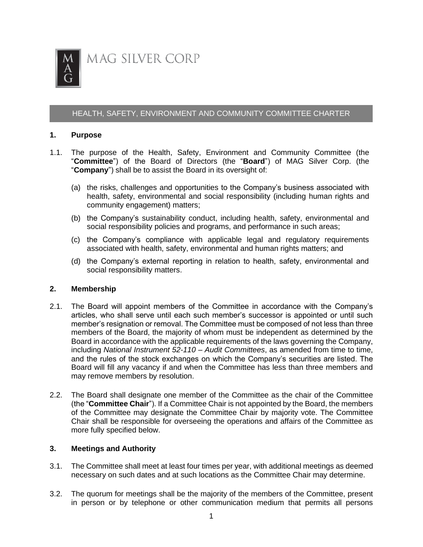

## HEALTH, SAFETY, ENVIRONMENT AND COMMUNITY COMMITTEE CHARTER

### **1. Purpose**

- 1.1. The purpose of the Health, Safety, Environment and Community Committee (the "**Committee**") of the Board of Directors (the "**Board**") of MAG Silver Corp. (the "**Company**") shall be to assist the Board in its oversight of:
	- (a) the risks, challenges and opportunities to the Company's business associated with health, safety, environmental and social responsibility (including human rights and community engagement) matters;
	- (b) the Company's sustainability conduct, including health, safety, environmental and social responsibility policies and programs, and performance in such areas;
	- (c) the Company's compliance with applicable legal and regulatory requirements associated with health, safety, environmental and human rights matters; and
	- (d) the Company's external reporting in relation to health, safety, environmental and social responsibility matters.

#### **2. Membership**

- 2.1. The Board will appoint members of the Committee in accordance with the Company's articles, who shall serve until each such member's successor is appointed or until such member's resignation or removal. The Committee must be composed of not less than three members of the Board, the majority of whom must be independent as determined by the Board in accordance with the applicable requirements of the laws governing the Company, including *National Instrument 52-110 – Audit Committees*, as amended from time to time, and the rules of the stock exchanges on which the Company's securities are listed. The Board will fill any vacancy if and when the Committee has less than three members and may remove members by resolution.
- 2.2. The Board shall designate one member of the Committee as the chair of the Committee (the "**Committee Chair**"). If a Committee Chair is not appointed by the Board, the members of the Committee may designate the Committee Chair by majority vote. The Committee Chair shall be responsible for overseeing the operations and affairs of the Committee as more fully specified below.

## **3. Meetings and Authority**

- 3.1. The Committee shall meet at least four times per year, with additional meetings as deemed necessary on such dates and at such locations as the Committee Chair may determine.
- 3.2. The quorum for meetings shall be the majority of the members of the Committee, present in person or by telephone or other communication medium that permits all persons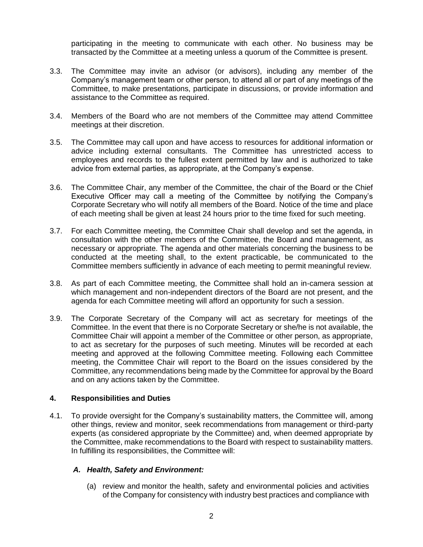participating in the meeting to communicate with each other. No business may be transacted by the Committee at a meeting unless a quorum of the Committee is present.

- 3.3. The Committee may invite an advisor (or advisors), including any member of the Company's management team or other person, to attend all or part of any meetings of the Committee, to make presentations, participate in discussions, or provide information and assistance to the Committee as required.
- 3.4. Members of the Board who are not members of the Committee may attend Committee meetings at their discretion.
- 3.5. The Committee may call upon and have access to resources for additional information or advice including external consultants. The Committee has unrestricted access to employees and records to the fullest extent permitted by law and is authorized to take advice from external parties, as appropriate, at the Company's expense.
- 3.6. The Committee Chair, any member of the Committee, the chair of the Board or the Chief Executive Officer may call a meeting of the Committee by notifying the Company's Corporate Secretary who will notify all members of the Board. Notice of the time and place of each meeting shall be given at least 24 hours prior to the time fixed for such meeting.
- 3.7. For each Committee meeting, the Committee Chair shall develop and set the agenda, in consultation with the other members of the Committee, the Board and management, as necessary or appropriate. The agenda and other materials concerning the business to be conducted at the meeting shall, to the extent practicable, be communicated to the Committee members sufficiently in advance of each meeting to permit meaningful review.
- 3.8. As part of each Committee meeting, the Committee shall hold an in-camera session at which management and non-independent directors of the Board are not present, and the agenda for each Committee meeting will afford an opportunity for such a session.
- 3.9. The Corporate Secretary of the Company will act as secretary for meetings of the Committee. In the event that there is no Corporate Secretary or she/he is not available, the Committee Chair will appoint a member of the Committee or other person, as appropriate, to act as secretary for the purposes of such meeting. Minutes will be recorded at each meeting and approved at the following Committee meeting. Following each Committee meeting, the Committee Chair will report to the Board on the issues considered by the Committee, any recommendations being made by the Committee for approval by the Board and on any actions taken by the Committee.

# **4. Responsibilities and Duties**

4.1. To provide oversight for the Company's sustainability matters, the Committee will, among other things, review and monitor, seek recommendations from management or third-party experts (as considered appropriate by the Committee) and, when deemed appropriate by the Committee, make recommendations to the Board with respect to sustainability matters. In fulfilling its responsibilities, the Committee will:

## *A. Health, Safety and Environment:*

(a) review and monitor the health, safety and environmental policies and activities of the Company for consistency with industry best practices and compliance with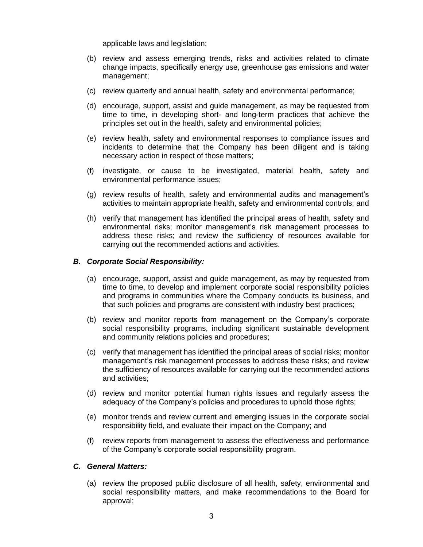applicable laws and legislation;

- (b) review and assess emerging trends, risks and activities related to climate change impacts, specifically energy use, greenhouse gas emissions and water management;
- (c) review quarterly and annual health, safety and environmental performance;
- (d) encourage, support, assist and guide management, as may be requested from time to time, in developing short- and long-term practices that achieve the principles set out in the health, safety and environmental policies;
- (e) review health, safety and environmental responses to compliance issues and incidents to determine that the Company has been diligent and is taking necessary action in respect of those matters;
- (f) investigate, or cause to be investigated, material health, safety and environmental performance issues;
- (g) review results of health, safety and environmental audits and management's activities to maintain appropriate health, safety and environmental controls; and
- (h) verify that management has identified the principal areas of health, safety and environmental risks; monitor management's risk management processes to address these risks; and review the sufficiency of resources available for carrying out the recommended actions and activities.

### *B. Corporate Social Responsibility:*

- (a) encourage, support, assist and guide management, as may by requested from time to time, to develop and implement corporate social responsibility policies and programs in communities where the Company conducts its business, and that such policies and programs are consistent with industry best practices;
- (b) review and monitor reports from management on the Company's corporate social responsibility programs, including significant sustainable development and community relations policies and procedures;
- (c) verify that management has identified the principal areas of social risks; monitor management's risk management processes to address these risks; and review the sufficiency of resources available for carrying out the recommended actions and activities;
- (d) review and monitor potential human rights issues and regularly assess the adequacy of the Company's policies and procedures to uphold those rights;
- (e) monitor trends and review current and emerging issues in the corporate social responsibility field, and evaluate their impact on the Company; and
- (f) review reports from management to assess the effectiveness and performance of the Company's corporate social responsibility program.

## *C. General Matters:*

(a) review the proposed public disclosure of all health, safety, environmental and social responsibility matters, and make recommendations to the Board for approval;